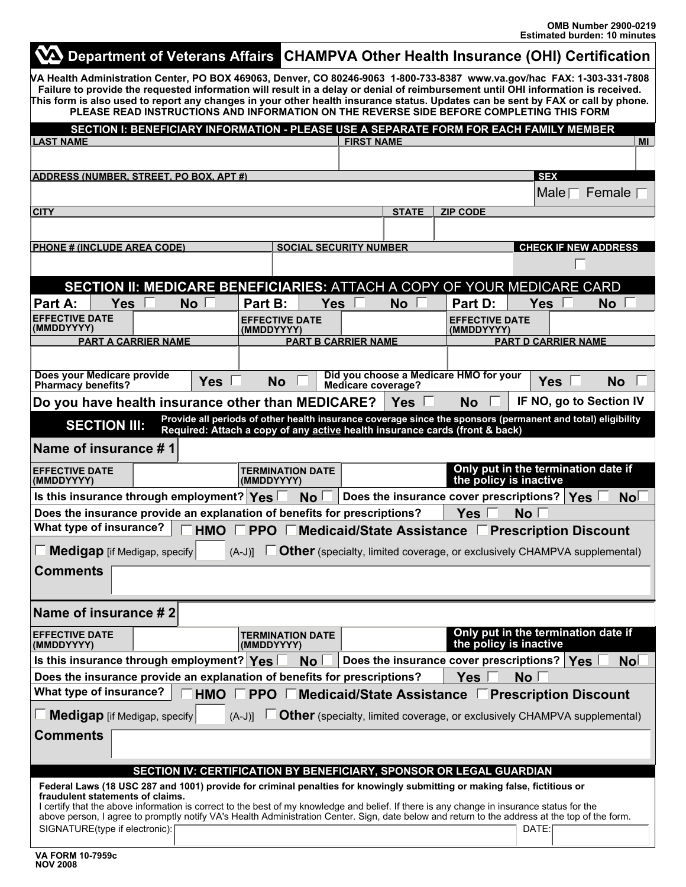| VA Department of Veterans Affairs CHAMPVA Other Health Insurance (OHI) Certification                                                                                                                                                                                                                                                                                                                                                                                                                     |                          |                                          |                       |                    |                             |                                 |                                                                                 |                            |            |                         |
|----------------------------------------------------------------------------------------------------------------------------------------------------------------------------------------------------------------------------------------------------------------------------------------------------------------------------------------------------------------------------------------------------------------------------------------------------------------------------------------------------------|--------------------------|------------------------------------------|-----------------------|--------------------|-----------------------------|---------------------------------|---------------------------------------------------------------------------------|----------------------------|------------|-------------------------|
| VA Health Administration Center, PO BOX 469063, Denver, CO 80246-9063 1-800-733-8387 www.va.gov/hac FAX: 1-303-331-7808<br>Failure to provide the requested information will result in a delay or denial of reimbursement until OHI information is received.<br>This form is also used to report any changes in your other health insurance status. Updates can be sent by FAX or call by phone.<br>PLEASE READ INSTRUCTIONS AND INFORMATION ON THE REVERSE SIDE BEFORE COMPLETING THIS FORM             |                          |                                          |                       |                    |                             |                                 |                                                                                 |                            |            |                         |
| SECTION I: BENEFICIARY INFORMATION - PLEASE USE A SEPARATE FORM FOR EACH FAMILY MEMBER                                                                                                                                                                                                                                                                                                                                                                                                                   |                          |                                          |                       |                    |                             |                                 |                                                                                 |                            |            |                         |
| <b>LAST NAME</b>                                                                                                                                                                                                                                                                                                                                                                                                                                                                                         |                          |                                          |                       | <b>FIRST NAME</b>  |                             |                                 |                                                                                 |                            |            | <b>MI</b>               |
|                                                                                                                                                                                                                                                                                                                                                                                                                                                                                                          |                          |                                          |                       |                    |                             |                                 |                                                                                 |                            |            |                         |
| <b>ADDRESS (NUMBER, STREET, PO BOX, APT #)</b>                                                                                                                                                                                                                                                                                                                                                                                                                                                           |                          |                                          |                       |                    |                             |                                 |                                                                                 | <b>SEX</b>                 |            |                         |
|                                                                                                                                                                                                                                                                                                                                                                                                                                                                                                          |                          |                                          |                       |                    |                             |                                 | Male <sub>1</sub><br>Female                                                     |                            |            |                         |
| <b>CITY</b>                                                                                                                                                                                                                                                                                                                                                                                                                                                                                              |                          |                                          |                       |                    |                             | <b>STATE</b><br><b>ZIP CODE</b> |                                                                                 |                            |            |                         |
|                                                                                                                                                                                                                                                                                                                                                                                                                                                                                                          |                          |                                          |                       |                    |                             |                                 |                                                                                 |                            |            |                         |
| <b>PHONE # (INCLUDE AREA CODE)</b><br><b>SOCIAL SECURITY NUMBER</b>                                                                                                                                                                                                                                                                                                                                                                                                                                      |                          |                                          |                       |                    | <b>CHECK IF NEW ADDRESS</b> |                                 |                                                                                 |                            |            |                         |
|                                                                                                                                                                                                                                                                                                                                                                                                                                                                                                          |                          |                                          |                       |                    |                             |                                 |                                                                                 |                            |            |                         |
| <b>SECTION II: MEDICARE BENEFICIARIES: ATTACH A COPY OF YOUR MEDICARE CARD</b>                                                                                                                                                                                                                                                                                                                                                                                                                           |                          |                                          |                       |                    |                             |                                 |                                                                                 |                            |            |                         |
| Part A:<br><b>Yes</b>                                                                                                                                                                                                                                                                                                                                                                                                                                                                                    | <b>No</b>                | Part B:                                  | <b>Yes</b>            |                    | <b>No</b>                   |                                 | Part D:                                                                         | <b>Yes</b>                 |            | <b>No</b>               |
| <b>EFFECTIVE DATE</b>                                                                                                                                                                                                                                                                                                                                                                                                                                                                                    |                          |                                          | <b>EFFECTIVE DATE</b> |                    |                             |                                 | <b>EFFECTIVE DATE</b>                                                           |                            |            |                         |
| (MMDDYYYY)<br><b>PART A CARRIER NAME</b>                                                                                                                                                                                                                                                                                                                                                                                                                                                                 |                          | (MMDDYYYY)<br><b>PART B CARRIER NAME</b> |                       |                    | (MMDDYYYY)                  |                                 |                                                                                 | <b>PART D CARRIER NAME</b> |            |                         |
|                                                                                                                                                                                                                                                                                                                                                                                                                                                                                                          |                          |                                          |                       |                    |                             |                                 |                                                                                 |                            |            |                         |
| Does your Medicare provide<br><b>Pharmacy benefits?</b>                                                                                                                                                                                                                                                                                                                                                                                                                                                  | <b>Yes</b>               | <b>No</b>                                |                       | Medicare coverage? |                             |                                 | Did you choose a Medicare HMO for your                                          |                            | <b>Yes</b> | <b>No</b>               |
| Do you have health insurance other than MEDICARE?                                                                                                                                                                                                                                                                                                                                                                                                                                                        |                          |                                          |                       |                    | Yes I                       |                                 | <b>No</b>                                                                       |                            |            | IF NO, go to Section IV |
| Provide all periods of other health insurance coverage since the sponsors (permanent and total) eligibility<br><b>SECTION III:</b><br>Required: Attach a copy of any active health insurance cards (front & back)                                                                                                                                                                                                                                                                                        |                          |                                          |                       |                    |                             |                                 |                                                                                 |                            |            |                         |
| Name of insurance #1                                                                                                                                                                                                                                                                                                                                                                                                                                                                                     |                          |                                          |                       |                    |                             |                                 |                                                                                 |                            |            |                         |
| <b>EFFECTIVE DATE</b><br>(MMDDYYYY)                                                                                                                                                                                                                                                                                                                                                                                                                                                                      |                          | <b>TERMINATION DATE</b><br>(MMDDYYYY)    |                       |                    |                             |                                 | Only put in the termination date if<br>the policy is inactive                   |                            |            |                         |
| Is this insurance through employment? Yes<br>Does the insurance cover prescriptions?   Yes  <br>No <sub>1</sub><br>No                                                                                                                                                                                                                                                                                                                                                                                    |                          |                                          |                       |                    |                             |                                 |                                                                                 |                            |            |                         |
| Does the insurance provide an explanation of benefits for prescriptions?<br><b>No</b><br><b>Yes</b>                                                                                                                                                                                                                                                                                                                                                                                                      |                          |                                          |                       |                    |                             |                                 |                                                                                 |                            |            |                         |
| What type of insurance?<br>PPO Medicaid/State Assistance<br><b>HMO</b><br><b>Prescription Discount</b>                                                                                                                                                                                                                                                                                                                                                                                                   |                          |                                          |                       |                    |                             |                                 |                                                                                 |                            |            |                         |
| <b>Medigap</b> [if Medigap, specify $\boxed{\cdot}$ (A-J)] $\boxed{\cdot}$ <b>Other</b> (specialty, limited coverage, or exclusively CHAMPVA supplemental)<br>п                                                                                                                                                                                                                                                                                                                                          |                          |                                          |                       |                    |                             |                                 |                                                                                 |                            |            |                         |
| <b>Comments</b>                                                                                                                                                                                                                                                                                                                                                                                                                                                                                          |                          |                                          |                       |                    |                             |                                 |                                                                                 |                            |            |                         |
| Name of insurance #2                                                                                                                                                                                                                                                                                                                                                                                                                                                                                     |                          |                                          |                       |                    |                             |                                 |                                                                                 |                            |            |                         |
|                                                                                                                                                                                                                                                                                                                                                                                                                                                                                                          |                          |                                          |                       |                    |                             |                                 | Only put in the termination date if                                             |                            |            |                         |
| <b>EFFECTIVE DATE</b><br>(MMDDYYYY)                                                                                                                                                                                                                                                                                                                                                                                                                                                                      |                          | <b>TERMINATION DATE</b><br>(MMDDYYYY)    |                       |                    |                             |                                 | the policy is inactive                                                          |                            |            |                         |
| Is this insurance through employment? Yes<br>Does the insurance cover prescriptions?   Yes  <br>No <sub>1</sub><br>No <sub>1</sub>                                                                                                                                                                                                                                                                                                                                                                       |                          |                                          |                       |                    |                             |                                 |                                                                                 |                            |            |                         |
| Does the insurance provide an explanation of benefits for prescriptions?                                                                                                                                                                                                                                                                                                                                                                                                                                 |                          |                                          |                       |                    |                             |                                 | <b>Yes</b>                                                                      | <b>No</b>                  |            |                         |
| What type of insurance?<br>HMO <sup>1</sup><br><b>PPO Medicaid/State Assistance</b><br><b>Prescription Discount</b>                                                                                                                                                                                                                                                                                                                                                                                      |                          |                                          |                       |                    |                             |                                 |                                                                                 |                            |            |                         |
| Medigap [if Medigap, specify]                                                                                                                                                                                                                                                                                                                                                                                                                                                                            | $\vert \mathbf{v} \vert$ | $(A-J)$ ]                                |                       |                    |                             |                                 | <b>Other</b> (specialty, limited coverage, or exclusively CHAMPVA supplemental) |                            |            |                         |
| <b>Comments</b>                                                                                                                                                                                                                                                                                                                                                                                                                                                                                          |                          |                                          |                       |                    |                             |                                 |                                                                                 |                            |            |                         |
|                                                                                                                                                                                                                                                                                                                                                                                                                                                                                                          |                          |                                          |                       |                    |                             |                                 | SECTION IV: CERTIFICATION BY BENEFICIARY, SPONSOR OR LEGAL GUARDIAN             |                            |            |                         |
| Federal Laws (18 USC 287 and 1001) provide for criminal penalties for knowingly submitting or making false, fictitious or<br>fraudulent statements of claims.<br>I certify that the above information is correct to the best of my knowledge and belief. If there is any change in insurance status for the<br>above person, I agree to promptly notify VA's Health Administration Center. Sign, date below and return to the address at the top of the form.<br>SIGNATURE(type if electronic):<br>DATE: |                          |                                          |                       |                    |                             |                                 |                                                                                 |                            |            |                         |